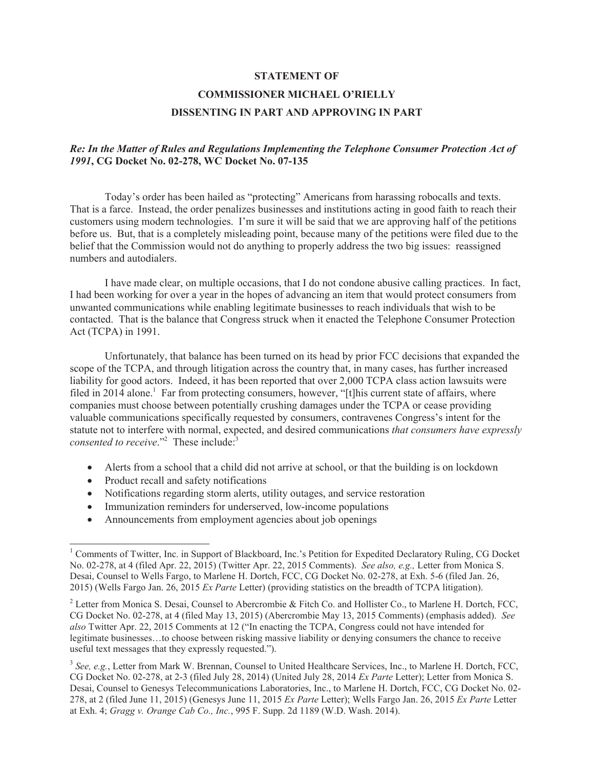#### **STATEMENT OF**

# **COMMISSIONER MICHAEL O'RIELLY DISSENTING IN PART AND APPROVING IN PART**

## *Re: In the Matter of Rules and Regulations Implementing the Telephone Consumer Protection Act of 1991***, CG Docket No. 02-278, WC Docket No. 07-135**

Today's order has been hailed as "protecting" Americans from harassing robocalls and texts. That is a farce. Instead, the order penalizes businesses and institutions acting in good faith to reach their customers using modern technologies. I'm sure it will be said that we are approving half of the petitions before us. But, that is a completely misleading point, because many of the petitions were filed due to the belief that the Commission would not do anything to properly address the two big issues: reassigned numbers and autodialers.

I have made clear, on multiple occasions, that I do not condone abusive calling practices. In fact, I had been working for over a year in the hopes of advancing an item that would protect consumers from unwanted communications while enabling legitimate businesses to reach individuals that wish to be contacted. That is the balance that Congress struck when it enacted the Telephone Consumer Protection Act (TCPA) in 1991.

Unfortunately, that balance has been turned on its head by prior FCC decisions that expanded the scope of the TCPA, and through litigation across the country that, in many cases, has further increased liability for good actors. Indeed, it has been reported that over 2,000 TCPA class action lawsuits were filed in 2014 alone.<sup>1</sup> Far from protecting consumers, however, "[t]his current state of affairs, where companies must choose between potentially crushing damages under the TCPA or cease providing valuable communications specifically requested by consumers, contravenes Congress's intent for the statute not to interfere with normal, expected, and desired communications *that consumers have expressly consented to receive*."<sup>2</sup> These include:<sup>3</sup>

- Alerts from a school that a child did not arrive at school, or that the building is on lockdown
- Product recall and safety notifications
- Notifications regarding storm alerts, utility outages, and service restoration
- Immunization reminders for underserved, low-income populations
- Announcements from employment agencies about job openings

<sup>&</sup>lt;sup>1</sup> Comments of Twitter, Inc. in Support of Blackboard, Inc.'s Petition for Expedited Declaratory Ruling, CG Docket No. 02-278, at 4 (filed Apr. 22, 2015) (Twitter Apr. 22, 2015 Comments). *See also, e.g.,* Letter from Monica S. Desai, Counsel to Wells Fargo, to Marlene H. Dortch, FCC, CG Docket No. 02-278, at Exh. 5-6 (filed Jan. 26, 2015) (Wells Fargo Jan. 26, 2015 *Ex Parte* Letter) (providing statistics on the breadth of TCPA litigation).

<sup>&</sup>lt;sup>2</sup> Letter from Monica S. Desai, Counsel to Abercrombie & Fitch Co. and Hollister Co., to Marlene H. Dortch, FCC, CG Docket No. 02-278, at 4 (filed May 13, 2015) (Abercrombie May 13, 2015 Comments) (emphasis added). *See also* Twitter Apr. 22, 2015 Comments at 12 ("In enacting the TCPA, Congress could not have intended for legitimate businesses…to choose between risking massive liability or denying consumers the chance to receive useful text messages that they expressly requested.").

<sup>&</sup>lt;sup>3</sup> See, e.g., Letter from Mark W. Brennan, Counsel to United Healthcare Services, Inc., to Marlene H. Dortch, FCC, CG Docket No. 02-278, at 2-3 (filed July 28, 2014) (United July 28, 2014 *Ex Parte* Letter); Letter from Monica S. Desai, Counsel to Genesys Telecommunications Laboratories, Inc., to Marlene H. Dortch, FCC, CG Docket No. 02- 278, at 2 (filed June 11, 2015) (Genesys June 11, 2015 *Ex Parte* Letter); Wells Fargo Jan. 26, 2015 *Ex Parte* Letter at Exh. 4; *Gragg v. Orange Cab Co., Inc.*, 995 F. Supp. 2d 1189 (W.D. Wash. 2014).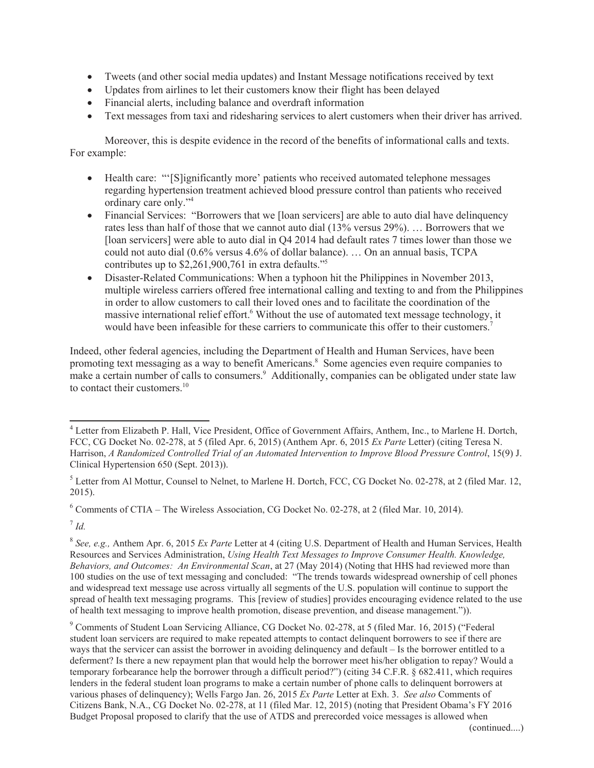- · Tweets (and other social media updates) and Instant Message notifications received by text
- Updates from airlines to let their customers know their flight has been delayed
- · Financial alerts, including balance and overdraft information
- · Text messages from taxi and ridesharing services to alert customers when their driver has arrived.

Moreover, this is despite evidence in the record of the benefits of informational calls and texts. For example:

- · Health care: "'[S]ignificantly more' patients who received automated telephone messages regarding hypertension treatment achieved blood pressure control than patients who received ordinary care only."<sup>4</sup>
- · Financial Services: "Borrowers that we [loan servicers] are able to auto dial have delinquency rates less than half of those that we cannot auto dial (13% versus 29%). … Borrowers that we [loan servicers] were able to auto dial in Q4 2014 had default rates 7 times lower than those we could not auto dial (0.6% versus 4.6% of dollar balance). … On an annual basis, TCPA contributes up to \$2,261,900,761 in extra defaults."<sup>5</sup>
- Disaster-Related Communications: When a typhoon hit the Philippines in November 2013, multiple wireless carriers offered free international calling and texting to and from the Philippines in order to allow customers to call their loved ones and to facilitate the coordination of the massive international relief effort.<sup>6</sup> Without the use of automated text message technology, it would have been infeasible for these carriers to communicate this offer to their customers.<sup>7</sup>

Indeed, other federal agencies, including the Department of Health and Human Services, have been promoting text messaging as a way to benefit Americans.<sup>8</sup> Some agencies even require companies to make a certain number of calls to consumers.<sup>9</sup> Additionally, companies can be obligated under state law to contact their customers.<sup>10</sup>

<sup>6</sup> Comments of CTIA – The Wireless Association, CG Docket No. 02-278, at 2 (filed Mar. 10, 2014).

7 *Id.*

<sup>&</sup>lt;sup>4</sup> Letter from Elizabeth P. Hall, Vice President, Office of Government Affairs, Anthem, Inc., to Marlene H. Dortch, FCC, CG Docket No. 02-278, at 5 (filed Apr. 6, 2015) (Anthem Apr. 6, 2015 *Ex Parte* Letter) (citing Teresa N. Harrison, *A Randomized Controlled Trial of an Automated Intervention to Improve Blood Pressure Control*, 15(9) J. Clinical Hypertension 650 (Sept. 2013)).

<sup>&</sup>lt;sup>5</sup> Letter from Al Mottur, Counsel to Nelnet, to Marlene H. Dortch, FCC, CG Docket No. 02-278, at 2 (filed Mar. 12, 2015).

<sup>8</sup> *See, e.g.,* Anthem Apr. 6, 2015 *Ex Parte* Letter at 4 (citing U.S. Department of Health and Human Services, Health Resources and Services Administration, *Using Health Text Messages to Improve Consumer Health. Knowledge, Behaviors, and Outcomes: An Environmental Scan*, at 27 (May 2014) (Noting that HHS had reviewed more than 100 studies on the use of text messaging and concluded: "The trends towards widespread ownership of cell phones and widespread text message use across virtually all segments of the U.S. population will continue to support the spread of health text messaging programs. This [review of studies] provides encouraging evidence related to the use of health text messaging to improve health promotion, disease prevention, and disease management.")).

<sup>9</sup> Comments of Student Loan Servicing Alliance, CG Docket No. 02-278, at 5 (filed Mar. 16, 2015) ("Federal student loan servicers are required to make repeated attempts to contact delinquent borrowers to see if there are ways that the servicer can assist the borrower in avoiding delinquency and default – Is the borrower entitled to a deferment? Is there a new repayment plan that would help the borrower meet his/her obligation to repay? Would a temporary forbearance help the borrower through a difficult period?") (citing 34 C.F.R. § 682.411, which requires lenders in the federal student loan programs to make a certain number of phone calls to delinquent borrowers at various phases of delinquency); Wells Fargo Jan. 26, 2015 *Ex Parte* Letter at Exh. 3. *See also* Comments of Citizens Bank, N.A., CG Docket No. 02-278, at 11 (filed Mar. 12, 2015) (noting that President Obama's FY 2016 Budget Proposal proposed to clarify that the use of ATDS and prerecorded voice messages is allowed when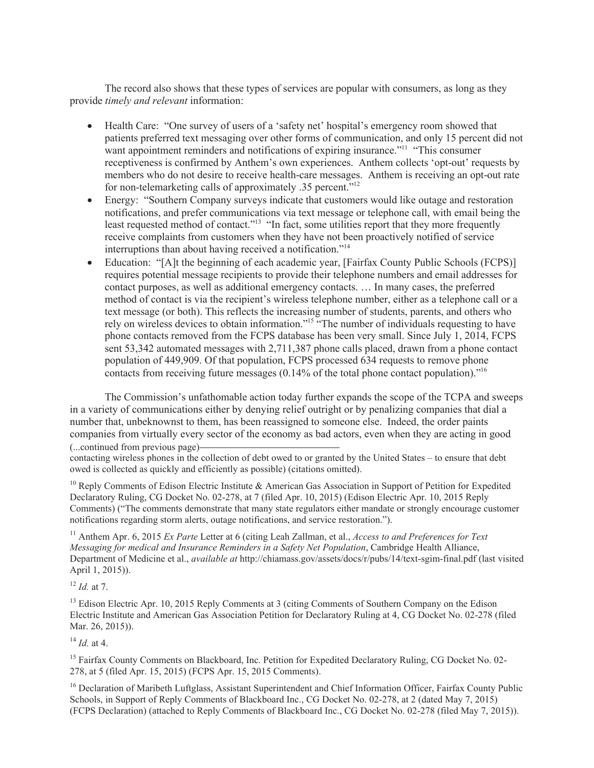The record also shows that these types of services are popular with consumers, as long as they provide *timely and relevant* information:

- · Health Care: "One survey of users of a 'safety net' hospital's emergency room showed that patients preferred text messaging over other forms of communication, and only 15 percent did not want appointment reminders and notifications of expiring insurance.<sup>"11</sup> "This consumer receptiveness is confirmed by Anthem's own experiences. Anthem collects 'opt-out' requests by members who do not desire to receive health-care messages. Anthem is receiving an opt-out rate for non-telemarketing calls of approximately .35 percent."<sup>12</sup>
- Energy: "Southern Company surveys indicate that customers would like outage and restoration notifications, and prefer communications via text message or telephone call, with email being the least requested method of contact."<sup>13</sup> "In fact, some utilities report that they more frequently receive complaints from customers when they have not been proactively notified of service interruptions than about having received a notification."<sup>14</sup>
- Education: "[A]t the beginning of each academic year, [Fairfax County Public Schools (FCPS)] requires potential message recipients to provide their telephone numbers and email addresses for contact purposes, as well as additional emergency contacts. … In many cases, the preferred method of contact is via the recipient's wireless telephone number, either as a telephone call or a text message (or both). This reflects the increasing number of students, parents, and others who rely on wireless devices to obtain information."<sup>15</sup> "The number of individuals requesting to have phone contacts removed from the FCPS database has been very small. Since July 1, 2014, FCPS sent 53,342 automated messages with 2,711,387 phone calls placed, drawn from a phone contact population of 449,909. Of that population, FCPS processed 634 requests to remove phone contacts from receiving future messages (0.14% of the total phone contact population)."<sup>16</sup>

The Commission's unfathomable action today further expands the scope of the TCPA and sweeps in a variety of communications either by denying relief outright or by penalizing companies that dial a number that, unbeknownst to them, has been reassigned to someone else. Indeed, the order paints companies from virtually every sector of the economy as bad actors, even when they are acting in good (...continued from previous page)

contacting wireless phones in the collection of debt owed to or granted by the United States – to ensure that debt owed is collected as quickly and efficiently as possible) (citations omitted).

<sup>10</sup> Reply Comments of Edison Electric Institute & American Gas Association in Support of Petition for Expedited Declaratory Ruling, CG Docket No. 02-278, at 7 (filed Apr. 10, 2015) (Edison Electric Apr. 10, 2015 Reply Comments) ("The comments demonstrate that many state regulators either mandate or strongly encourage customer notifications regarding storm alerts, outage notifications, and service restoration.").

<sup>11</sup> Anthem Apr. 6, 2015 *Ex Parte* Letter at 6 (citing Leah Zallman, et al., *Access to and Preferences for Text Messaging for medical and Insurance Reminders in a Safety Net Population*, Cambridge Health Alliance, Department of Medicine et al., *available at* http://chiamass.gov/assets/docs/r/pubs/14/text-sgim-final.pdf (last visited April 1, 2015)).

<sup>12</sup> *Id.* at 7.

<sup>13</sup> Edison Electric Apr. 10, 2015 Reply Comments at 3 (citing Comments of Southern Company on the Edison Electric Institute and American Gas Association Petition for Declaratory Ruling at 4, CG Docket No. 02-278 (filed Mar. 26, 2015)).

 $^{14}$  *Id.* at 4.

<sup>15</sup> Fairfax County Comments on Blackboard, Inc. Petition for Expedited Declaratory Ruling, CG Docket No. 02-278, at 5 (filed Apr. 15, 2015) (FCPS Apr. 15, 2015 Comments).

<sup>16</sup> Declaration of Maribeth Luftglass, Assistant Superintendent and Chief Information Officer, Fairfax County Public Schools, in Support of Reply Comments of Blackboard Inc., CG Docket No. 02-278, at 2 (dated May 7, 2015) (FCPS Declaration) (attached to Reply Comments of Blackboard Inc., CG Docket No. 02-278 (filed May 7, 2015)).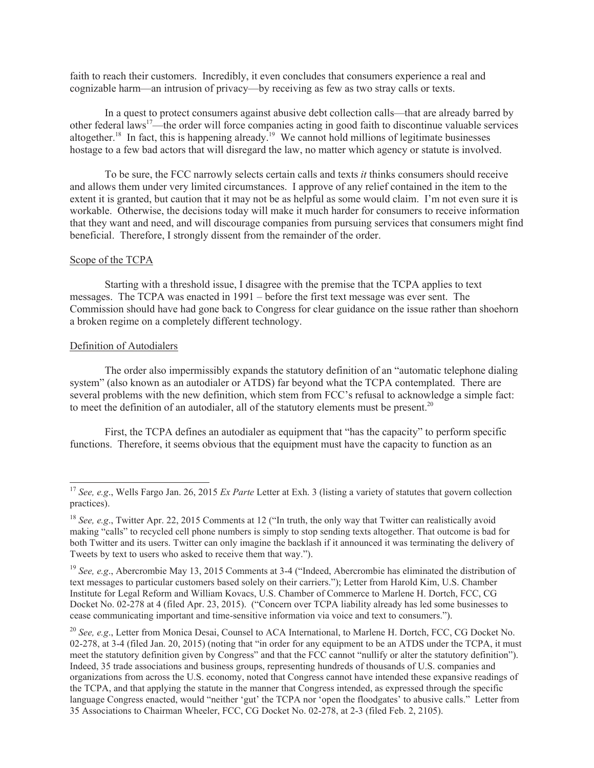faith to reach their customers. Incredibly, it even concludes that consumers experience a real and cognizable harm—an intrusion of privacy—by receiving as few as two stray calls or texts.

In a quest to protect consumers against abusive debt collection calls—that are already barred by other federal laws<sup>17</sup>—the order will force companies acting in good faith to discontinue valuable services altogether.<sup>18</sup> In fact, this is happening already.<sup>19</sup> We cannot hold millions of legitimate businesses hostage to a few bad actors that will disregard the law, no matter which agency or statute is involved.

To be sure, the FCC narrowly selects certain calls and texts *it* thinks consumers should receive and allows them under very limited circumstances. I approve of any relief contained in the item to the extent it is granted, but caution that it may not be as helpful as some would claim. I'm not even sure it is workable. Otherwise, the decisions today will make it much harder for consumers to receive information that they want and need, and will discourage companies from pursuing services that consumers might find beneficial. Therefore, I strongly dissent from the remainder of the order.

#### Scope of the TCPA

Starting with a threshold issue, I disagree with the premise that the TCPA applies to text messages. The TCPA was enacted in 1991 – before the first text message was ever sent. The Commission should have had gone back to Congress for clear guidance on the issue rather than shoehorn a broken regime on a completely different technology.

#### Definition of Autodialers

The order also impermissibly expands the statutory definition of an "automatic telephone dialing system" (also known as an autodialer or ATDS) far beyond what the TCPA contemplated. There are several problems with the new definition, which stem from FCC's refusal to acknowledge a simple fact: to meet the definition of an autodialer, all of the statutory elements must be present.<sup>20</sup>

First, the TCPA defines an autodialer as equipment that "has the capacity" to perform specific functions. Therefore, it seems obvious that the equipment must have the capacity to function as an

<sup>&</sup>lt;sup>17</sup> *See, e.g.*, Wells Fargo Jan. 26, 2015 *Ex Parte* Letter at Exh. 3 (listing a variety of statutes that govern collection practices).

<sup>&</sup>lt;sup>18</sup> *See, e.g.*, Twitter Apr. 22, 2015 Comments at 12 ("In truth, the only way that Twitter can realistically avoid making "calls" to recycled cell phone numbers is simply to stop sending texts altogether. That outcome is bad for both Twitter and its users. Twitter can only imagine the backlash if it announced it was terminating the delivery of Tweets by text to users who asked to receive them that way.").

<sup>&</sup>lt;sup>19</sup> *See, e.g.*, Abercrombie May 13, 2015 Comments at 3-4 ("Indeed, Abercrombie has eliminated the distribution of text messages to particular customers based solely on their carriers."); Letter from Harold Kim, U.S. Chamber Institute for Legal Reform and William Kovacs, U.S. Chamber of Commerce to Marlene H. Dortch, FCC, CG Docket No. 02-278 at 4 (filed Apr. 23, 2015). ("Concern over TCPA liability already has led some businesses to cease communicating important and time-sensitive information via voice and text to consumers.").

<sup>&</sup>lt;sup>20</sup> *See, e.g.*, Letter from Monica Desai, Counsel to ACA International, to Marlene H. Dortch, FCC, CG Docket No. 02-278, at 3-4 (filed Jan. 20, 2015) (noting that "in order for any equipment to be an ATDS under the TCPA, it must meet the statutory definition given by Congress" and that the FCC cannot "nullify or alter the statutory definition"). Indeed, 35 trade associations and business groups, representing hundreds of thousands of U.S. companies and organizations from across the U.S. economy, noted that Congress cannot have intended these expansive readings of the TCPA, and that applying the statute in the manner that Congress intended, as expressed through the specific language Congress enacted, would "neither 'gut' the TCPA nor 'open the floodgates' to abusive calls." Letter from 35 Associations to Chairman Wheeler, FCC, CG Docket No. 02-278, at 2-3 (filed Feb. 2, 2105).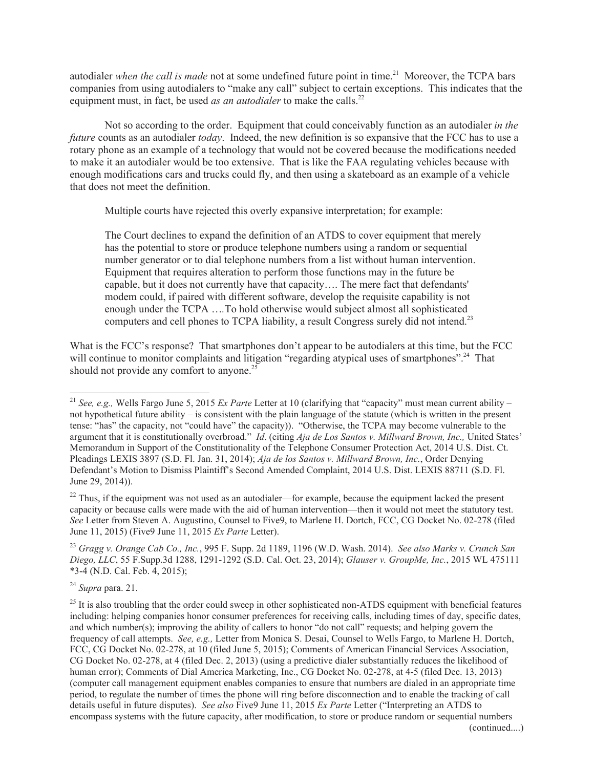autodialer *when the call is made* not at some undefined future point in time.<sup>21</sup> Moreover, the TCPA bars companies from using autodialers to "make any call" subject to certain exceptions. This indicates that the equipment must, in fact, be used *as an autodialer* to make the calls.<sup>22</sup>

Not so according to the order. Equipment that could conceivably function as an autodialer *in the future* counts as an autodialer *today*. Indeed, the new definition is so expansive that the FCC has to use a rotary phone as an example of a technology that would not be covered because the modifications needed to make it an autodialer would be too extensive. That is like the FAA regulating vehicles because with enough modifications cars and trucks could fly, and then using a skateboard as an example of a vehicle that does not meet the definition.

Multiple courts have rejected this overly expansive interpretation; for example:

The Court declines to expand the definition of an ATDS to cover equipment that merely has the potential to store or produce telephone numbers using a random or sequential number generator or to dial telephone numbers from a list without human intervention. Equipment that requires alteration to perform those functions may in the future be capable, but it does not currently have that capacity…. The mere fact that defendants' modem could, if paired with different software, develop the requisite capability is not enough under the TCPA …*.*To hold otherwise would subject almost all sophisticated computers and cell phones to TCPA liability, a result Congress surely did not intend.<sup>23</sup>

What is the FCC's response? That smartphones don't appear to be autodialers at this time, but the FCC will continue to monitor complaints and litigation "regarding atypical uses of smartphones".<sup>24</sup> That should not provide any comfort to anyone.<sup>25</sup>

<sup>24</sup> *Supra* para. 21.

<sup>21</sup> *See, e.g.,* Wells Fargo June 5, 2015 *Ex Parte* Letter at 10 (clarifying that "capacity" must mean current ability – not hypothetical future ability – is consistent with the plain language of the statute (which is written in the present tense: "has" the capacity, not "could have" the capacity)). "Otherwise, the TCPA may become vulnerable to the argument that it is constitutionally overbroad." *Id*. (citing *Aja de Los Santos v. Millward Brown, Inc.,* United States' Memorandum in Support of the Constitutionality of the Telephone Consumer Protection Act, 2014 U.S. Dist. Ct. Pleadings LEXIS 3897 (S.D. Fl. Jan. 31, 2014); *Aja de los Santos v. Millward Brown, Inc.*, Order Denying Defendant's Motion to Dismiss Plaintiff's Second Amended Complaint, 2014 U.S. Dist. LEXIS 88711 (S.D. Fl. June 29, 2014)).

<sup>&</sup>lt;sup>22</sup> Thus, if the equipment was not used as an autodialer—for example, because the equipment lacked the present capacity or because calls were made with the aid of human intervention—then it would not meet the statutory test. *See* Letter from Steven A. Augustino, Counsel to Five9, to Marlene H. Dortch, FCC, CG Docket No. 02-278 (filed June 11, 2015) (Five9 June 11, 2015 *Ex Parte* Letter).

<sup>23</sup> *Gragg v. Orange Cab Co., Inc.*, 995 F. Supp. 2d 1189, 1196 (W.D. Wash. 2014). *See also Marks v. Crunch San Diego, LLC*, 55 F.Supp.3d 1288, 1291-1292 (S.D. Cal. Oct. 23, 2014); *Glauser v. GroupMe, Inc.*, 2015 WL 475111 \*3-4 (N.D. Cal. Feb. 4, 2015);

 $25$  It is also troubling that the order could sweep in other sophisticated non-ATDS equipment with beneficial features including: helping companies honor consumer preferences for receiving calls, including times of day, specific dates, and which number(s); improving the ability of callers to honor "do not call" requests; and helping govern the frequency of call attempts. *See, e.g.,* Letter from Monica S. Desai, Counsel to Wells Fargo, to Marlene H. Dortch, FCC, CG Docket No. 02-278, at 10 (filed June 5, 2015); Comments of American Financial Services Association, CG Docket No. 02-278, at 4 (filed Dec. 2, 2013) (using a predictive dialer substantially reduces the likelihood of human error); Comments of Dial America Marketing, Inc., CG Docket No. 02-278, at 4-5 (filed Dec. 13, 2013) (computer call management equipment enables companies to ensure that numbers are dialed in an appropriate time period, to regulate the number of times the phone will ring before disconnection and to enable the tracking of call details useful in future disputes). *See also* Five9 June 11, 2015 *Ex Parte* Letter ("Interpreting an ATDS to encompass systems with the future capacity, after modification, to store or produce random or sequential numbers (continued....)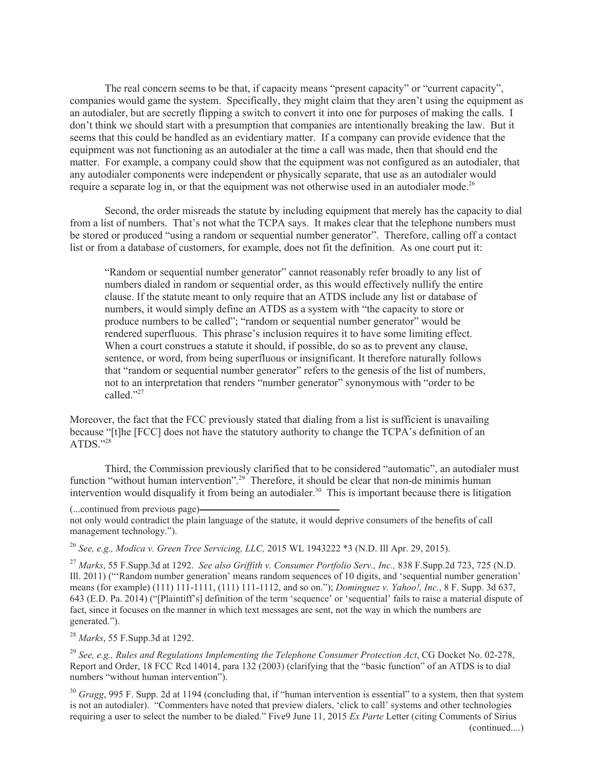The real concern seems to be that, if capacity means "present capacity" or "current capacity", companies would game the system. Specifically, they might claim that they aren't using the equipment as an autodialer, but are secretly flipping a switch to convert it into one for purposes of making the calls. I don't think we should start with a presumption that companies are intentionally breaking the law. But it seems that this could be handled as an evidentiary matter. If a company can provide evidence that the equipment was not functioning as an autodialer at the time a call was made, then that should end the matter. For example, a company could show that the equipment was not configured as an autodialer, that any autodialer components were independent or physically separate, that use as an autodialer would require a separate log in, or that the equipment was not otherwise used in an autodialer mode.<sup>26</sup>

Second, the order misreads the statute by including equipment that merely has the capacity to dial from a list of numbers. That's not what the TCPA says. It makes clear that the telephone numbers must be stored or produced "using a random or sequential number generator". Therefore, calling off a contact list or from a database of customers, for example, does not fit the definition. As one court put it:

"Random or sequential number generator" cannot reasonably refer broadly to any list of numbers dialed in random or sequential order, as this would effectively nullify the entire clause. If the statute meant to only require that an ATDS include any list or database of numbers, it would simply define an ATDS as a system with "the capacity to store or produce numbers to be called"; "random or sequential number generator" would be rendered superfluous. This phrase's inclusion requires it to have some limiting effect. When a court construes a statute it should, if possible, do so as to prevent any clause, sentence, or word, from being superfluous or insignificant. It therefore naturally follows that "random or sequential number generator" refers to the genesis of the list of numbers, not to an interpretation that renders "number generator" synonymous with "order to be called<sup>"27</sup>

Moreover, the fact that the FCC previously stated that dialing from a list is sufficient is unavailing because "[t]he [FCC] does not have the statutory authority to change the TCPA's definition of an ATDS."28

Third, the Commission previously clarified that to be considered "automatic", an autodialer must function "without human intervention".<sup>29</sup> Therefore, it should be clear that non-de minimis human intervention would disqualify it from being an autodialer.<sup>30</sup> This is important because there is litigation

(...continued from previous page)

not only would contradict the plain language of the statute, it would deprive consumers of the benefits of call management technology.").

<sup>26</sup> *See, e.g., Modica v. Green Tree Servicing, LLC,* 2015 WL 1943222 \*3 (N.D. Ill Apr. 29, 2015).

<sup>27</sup> *Marks*, 55 F.Supp.3d at 1292. *See also Griffith v. Consumer Portfolio Serv., Inc.,* 838 F.Supp.2d 723, 725 (N.D. Ill. 2011) ("'Random number generation' means random sequences of 10 digits, and 'sequential number generation' means (for example) (111) 111-1111, (111) 111-1112, and so on."); *Dominguez v. Yahoo!, Inc.*, 8 F. Supp. 3d 637, 643 (E.D. Pa. 2014) ("[Plaintiff's] definition of the term 'sequence' or 'sequential' fails to raise a material dispute of fact, since it focuses on the manner in which text messages are sent, not the way in which the numbers are generated.").

<sup>28</sup> *Marks*, 55 F.Supp.3d at 1292.

<sup>29</sup> *See, e.g., Rules and Regulations Implementing the Telephone Consumer Protection Act*, CG Docket No. 02-278, Report and Order, 18 FCC Rcd 14014, para 132 (2003) (clarifying that the "basic function" of an ATDS is to dial numbers "without human intervention").

<sup>30</sup> *Gragg*, 995 F. Supp. 2d at 1194 (concluding that, if "human intervention is essential" to a system, then that system is not an autodialer). "Commenters have noted that preview dialers, 'click to call' systems and other technologies requiring a user to select the number to be dialed." Five9 June 11, 2015 *Ex Parte* Letter (citing Comments of Sirius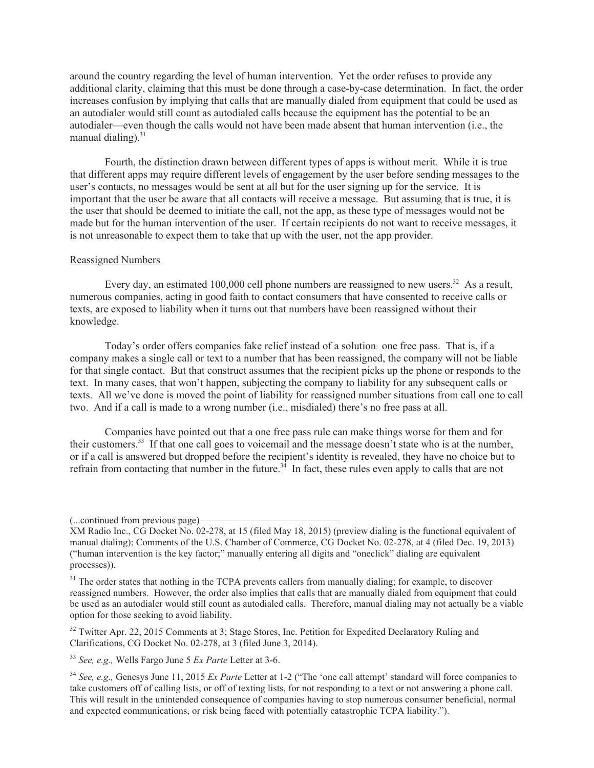around the country regarding the level of human intervention. Yet the order refuses to provide any additional clarity, claiming that this must be done through a case-by-case determination. In fact, the order increases confusion by implying that calls that are manually dialed from equipment that could be used as an autodialer would still count as autodialed calls because the equipment has the potential to be an autodialer—even though the calls would not have been made absent that human intervention (i.e., the manual dialing). $31$ 

Fourth, the distinction drawn between different types of apps is without merit. While it is true that different apps may require different levels of engagement by the user before sending messages to the user's contacts, no messages would be sent at all but for the user signing up for the service. It is important that the user be aware that all contacts will receive a message. But assuming that is true, it is the user that should be deemed to initiate the call, not the app, as these type of messages would not be made but for the human intervention of the user. If certain recipients do not want to receive messages, it is not unreasonable to expect them to take that up with the user, not the app provider.

#### Reassigned Numbers

Every day, an estimated 100,000 cell phone numbers are reassigned to new users.<sup>32</sup> As a result, numerous companies, acting in good faith to contact consumers that have consented to receive calls or texts, are exposed to liability when it turns out that numbers have been reassigned without their knowledge.

Today's order offers companies fake relief instead of a solution: one free pass. That is, if a company makes a single call or text to a number that has been reassigned, the company will not be liable for that single contact. But that construct assumes that the recipient picks up the phone or responds to the text. In many cases, that won't happen, subjecting the company to liability for any subsequent calls or texts. All we've done is moved the point of liability for reassigned number situations from call one to call two. And if a call is made to a wrong number (i.e., misdialed) there's no free pass at all.

Companies have pointed out that a one free pass rule can make things worse for them and for their customers.<sup>33</sup> If that one call goes to voicemail and the message doesn't state who is at the number, or if a call is answered but dropped before the recipient's identity is revealed, they have no choice but to refrain from contacting that number in the future.<sup>34</sup> In fact, these rules even apply to calls that are not

<sup>32</sup> Twitter Apr. 22, 2015 Comments at 3; Stage Stores, Inc. Petition for Expedited Declaratory Ruling and Clarifications, CG Docket No. 02-278, at 3 (filed June 3, 2014).

<sup>(...</sup>continued from previous page)

XM Radio Inc., CG Docket No. 02-278, at 15 (filed May 18, 2015) (preview dialing is the functional equivalent of manual dialing); Comments of the U.S. Chamber of Commerce, CG Docket No. 02-278, at 4 (filed Dec. 19, 2013) ("human intervention is the key factor;" manually entering all digits and "oneclick" dialing are equivalent processes)).

<sup>&</sup>lt;sup>31</sup> The order states that nothing in the TCPA prevents callers from manually dialing; for example, to discover reassigned numbers. However, the order also implies that calls that are manually dialed from equipment that could be used as an autodialer would still count as autodialed calls. Therefore, manual dialing may not actually be a viable option for those seeking to avoid liability.

<sup>33</sup> *See, e.g.,* Wells Fargo June 5 *Ex Parte* Letter at 3-6.

<sup>34</sup> *See, e.g.,* Genesys June 11, 2015 *Ex Parte* Letter at 1-2 ("The 'one call attempt' standard will force companies to take customers off of calling lists, or off of texting lists, for not responding to a text or not answering a phone call. This will result in the unintended consequence of companies having to stop numerous consumer beneficial, normal and expected communications, or risk being faced with potentially catastrophic TCPA liability.").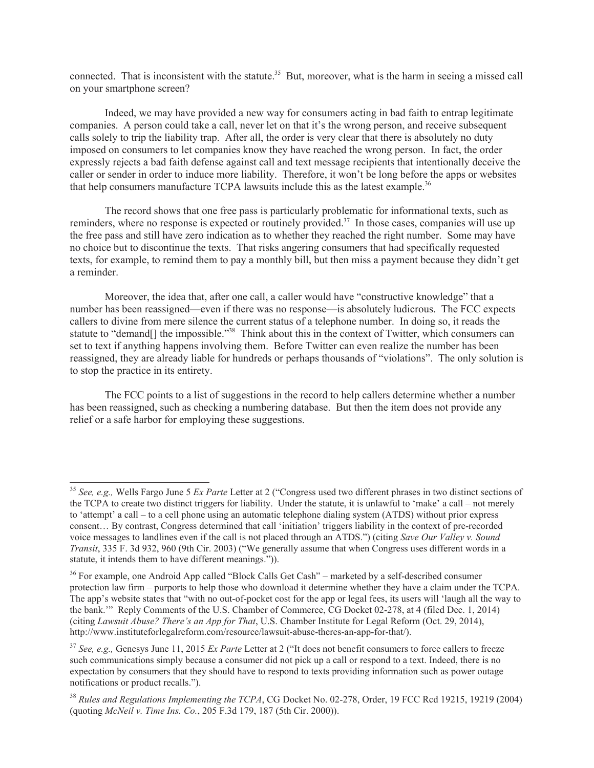connected. That is inconsistent with the statute.<sup>35</sup> But, moreover, what is the harm in seeing a missed call on your smartphone screen?

Indeed, we may have provided a new way for consumers acting in bad faith to entrap legitimate companies. A person could take a call, never let on that it's the wrong person, and receive subsequent calls solely to trip the liability trap. After all, the order is very clear that there is absolutely no duty imposed on consumers to let companies know they have reached the wrong person. In fact, the order expressly rejects a bad faith defense against call and text message recipients that intentionally deceive the caller or sender in order to induce more liability. Therefore, it won't be long before the apps or websites that help consumers manufacture TCPA lawsuits include this as the latest example.<sup>36</sup>

The record shows that one free pass is particularly problematic for informational texts, such as reminders, where no response is expected or routinely provided.<sup>37</sup> In those cases, companies will use up the free pass and still have zero indication as to whether they reached the right number. Some may have no choice but to discontinue the texts. That risks angering consumers that had specifically requested texts, for example, to remind them to pay a monthly bill, but then miss a payment because they didn't get a reminder.

Moreover, the idea that, after one call, a caller would have "constructive knowledge" that a number has been reassigned—even if there was no response—is absolutely ludicrous. The FCC expects callers to divine from mere silence the current status of a telephone number. In doing so, it reads the statute to "demand[] the impossible."<sup>38</sup> Think about this in the context of Twitter, which consumers can set to text if anything happens involving them. Before Twitter can even realize the number has been reassigned, they are already liable for hundreds or perhaps thousands of "violations". The only solution is to stop the practice in its entirety.

The FCC points to a list of suggestions in the record to help callers determine whether a number has been reassigned, such as checking a numbering database. But then the item does not provide any relief or a safe harbor for employing these suggestions.

<sup>35</sup> *See, e.g.,* Wells Fargo June 5 *Ex Parte* Letter at 2 ("Congress used two different phrases in two distinct sections of the TCPA to create two distinct triggers for liability. Under the statute, it is unlawful to 'make' a call – not merely to 'attempt' a call – to a cell phone using an automatic telephone dialing system (ATDS) without prior express consent… By contrast, Congress determined that call 'initiation' triggers liability in the context of pre-recorded voice messages to landlines even if the call is not placed through an ATDS.") (citing *Save Our Valley v. Sound Transit*, 335 F. 3d 932, 960 (9th Cir. 2003) ("We generally assume that when Congress uses different words in a statute, it intends them to have different meanings.")).

<sup>&</sup>lt;sup>36</sup> For example, one Android App called "Block Calls Get Cash" – marketed by a self-described consumer protection law firm – purports to help those who download it determine whether they have a claim under the TCPA. The app's website states that "with no out-of-pocket cost for the app or legal fees, its users will 'laugh all the way to the bank.'" Reply Comments of the U.S. Chamber of Commerce, CG Docket 02-278, at 4 (filed Dec. 1, 2014) (citing *Lawsuit Abuse? There's an App for That*, U.S. Chamber Institute for Legal Reform (Oct. 29, 2014), http://www.instituteforlegalreform.com/resource/lawsuit-abuse-theres-an-app-for-that/).

<sup>37</sup> *See, e.g.,* Genesys June 11, 2015 *Ex Parte* Letter at 2 ("It does not benefit consumers to force callers to freeze such communications simply because a consumer did not pick up a call or respond to a text. Indeed, there is no expectation by consumers that they should have to respond to texts providing information such as power outage notifications or product recalls.").

<sup>38</sup> *Rules and Regulations Implementing the TCPA*, CG Docket No. 02-278, Order, 19 FCC Rcd 19215, 19219 (2004) (quoting *McNeil v. Time Ins. Co.*, 205 F.3d 179, 187 (5th Cir. 2000)).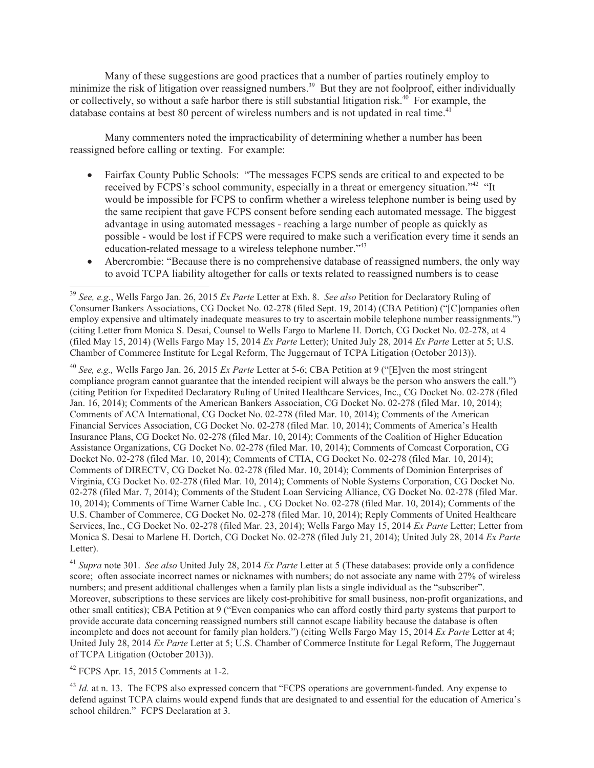Many of these suggestions are good practices that a number of parties routinely employ to minimize the risk of litigation over reassigned numbers.<sup>39</sup> But they are not foolproof, either individually or collectively, so without a safe harbor there is still substantial litigation risk.<sup>40</sup> For example, the database contains at best 80 percent of wireless numbers and is not updated in real time.<sup>41</sup>

Many commenters noted the impracticability of determining whether a number has been reassigned before calling or texting. For example:

- · Fairfax County Public Schools: "The messages FCPS sends are critical to and expected to be received by FCPS's school community, especially in a threat or emergency situation.<sup>242</sup> "It would be impossible for FCPS to confirm whether a wireless telephone number is being used by the same recipient that gave FCPS consent before sending each automated message. The biggest advantage in using automated messages - reaching a large number of people as quickly as possible - would be lost if FCPS were required to make such a verification every time it sends an education-related message to a wireless telephone number."<sup>43</sup>
- Abercrombie: "Because there is no comprehensive database of reassigned numbers, the only way to avoid TCPA liability altogether for calls or texts related to reassigned numbers is to cease

<sup>40</sup> *See, e.g.,* Wells Fargo Jan. 26, 2015 *Ex Parte* Letter at 5-6; CBA Petition at 9 ("[E]ven the most stringent compliance program cannot guarantee that the intended recipient will always be the person who answers the call.") (citing Petition for Expedited Declaratory Ruling of United Healthcare Services, Inc., CG Docket No. 02-278 (filed Jan. 16, 2014); Comments of the American Bankers Association, CG Docket No. 02-278 (filed Mar. 10, 2014); Comments of ACA International, CG Docket No. 02-278 (filed Mar. 10, 2014); Comments of the American Financial Services Association, CG Docket No. 02-278 (filed Mar. 10, 2014); Comments of America's Health Insurance Plans, CG Docket No. 02-278 (filed Mar. 10, 2014); Comments of the Coalition of Higher Education Assistance Organizations, CG Docket No. 02-278 (filed Mar. 10, 2014); Comments of Comcast Corporation, CG Docket No. 02-278 (filed Mar. 10, 2014); Comments of CTIA, CG Docket No. 02-278 (filed Mar. 10, 2014); Comments of DIRECTV, CG Docket No. 02-278 (filed Mar. 10, 2014); Comments of Dominion Enterprises of Virginia, CG Docket No. 02-278 (filed Mar. 10, 2014); Comments of Noble Systems Corporation, CG Docket No. 02-278 (filed Mar. 7, 2014); Comments of the Student Loan Servicing Alliance, CG Docket No. 02-278 (filed Mar. 10, 2014); Comments of Time Warner Cable Inc. , CG Docket No. 02-278 (filed Mar. 10, 2014); Comments of the U.S. Chamber of Commerce, CG Docket No. 02-278 (filed Mar. 10, 2014); Reply Comments of United Healthcare Services, Inc., CG Docket No. 02-278 (filed Mar. 23, 2014); Wells Fargo May 15, 2014 *Ex Parte* Letter; Letter from Monica S. Desai to Marlene H. Dortch, CG Docket No. 02-278 (filed July 21, 2014); United July 28, 2014 *Ex Parte* Letter).

<sup>41</sup> *Supra* note 301. *See also* United July 28, 2014 *Ex Parte* Letter at 5 (These databases: provide only a confidence score; often associate incorrect names or nicknames with numbers; do not associate any name with 27% of wireless numbers; and present additional challenges when a family plan lists a single individual as the "subscriber". Moreover, subscriptions to these services are likely cost-prohibitive for small business, non-profit organizations, and other small entities); CBA Petition at 9 ("Even companies who can afford costly third party systems that purport to provide accurate data concerning reassigned numbers still cannot escape liability because the database is often incomplete and does not account for family plan holders.") (citing Wells Fargo May 15, 2014 *Ex Parte* Letter at 4; United July 28, 2014 *Ex Parte* Letter at 5; U.S. Chamber of Commerce Institute for Legal Reform, The Juggernaut of TCPA Litigation (October 2013)).

<sup>42</sup> FCPS Apr. 15, 2015 Comments at 1-2.

<sup>43</sup> *Id.* at n. 13. The FCPS also expressed concern that "FCPS operations are government-funded. Any expense to defend against TCPA claims would expend funds that are designated to and essential for the education of America's school children." FCPS Declaration at 3.

<sup>39</sup> *See, e.g*., Wells Fargo Jan. 26, 2015 *Ex Parte* Letter at Exh. 8. *See also* Petition for Declaratory Ruling of Consumer Bankers Associations, CG Docket No. 02-278 (filed Sept. 19, 2014) (CBA Petition) ("[C]ompanies often employ expensive and ultimately inadequate measures to try to ascertain mobile telephone number reassignments.") (citing Letter from Monica S. Desai, Counsel to Wells Fargo to Marlene H. Dortch, CG Docket No. 02-278, at 4 (filed May 15, 2014) (Wells Fargo May 15, 2014 *Ex Parte* Letter); United July 28, 2014 *Ex Parte* Letter at 5; U.S. Chamber of Commerce Institute for Legal Reform, The Juggernaut of TCPA Litigation (October 2013)).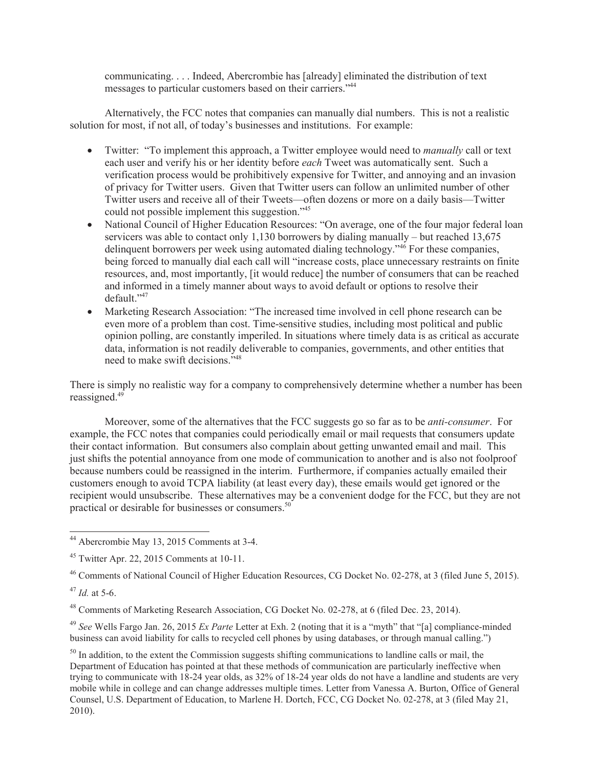communicating. . . . Indeed, Abercrombie has [already] eliminated the distribution of text messages to particular customers based on their carriers."<sup>44</sup>

Alternatively, the FCC notes that companies can manually dial numbers. This is not a realistic solution for most, if not all, of today's businesses and institutions. For example:

- · Twitter: "To implement this approach, a Twitter employee would need to *manually* call or text each user and verify his or her identity before *each* Tweet was automatically sent. Such a verification process would be prohibitively expensive for Twitter, and annoying and an invasion of privacy for Twitter users. Given that Twitter users can follow an unlimited number of other Twitter users and receive all of their Tweets—often dozens or more on a daily basis—Twitter could not possible implement this suggestion."<sup>45</sup>
- · National Council of Higher Education Resources: "On average, one of the four major federal loan servicers was able to contact only 1,130 borrowers by dialing manually – but reached 13,675 delinquent borrowers per week using automated dialing technology."<sup>46</sup> For these companies, being forced to manually dial each call will "increase costs, place unnecessary restraints on finite resources, and, most importantly, [it would reduce] the number of consumers that can be reached and informed in a timely manner about ways to avoid default or options to resolve their default."<sup>47</sup>
- · Marketing Research Association: "The increased time involved in cell phone research can be even more of a problem than cost. Time-sensitive studies, including most political and public opinion polling, are constantly imperiled. In situations where timely data is as critical as accurate data, information is not readily deliverable to companies, governments, and other entities that need to make swift decisions."<sup>48</sup>

There is simply no realistic way for a company to comprehensively determine whether a number has been reassigned.<sup>49</sup>

Moreover, some of the alternatives that the FCC suggests go so far as to be *anti-consumer*. For example, the FCC notes that companies could periodically email or mail requests that consumers update their contact information. But consumers also complain about getting unwanted email and mail. This just shifts the potential annoyance from one mode of communication to another and is also not foolproof because numbers could be reassigned in the interim. Furthermore, if companies actually emailed their customers enough to avoid TCPA liability (at least every day), these emails would get ignored or the recipient would unsubscribe. These alternatives may be a convenient dodge for the FCC, but they are not practical or desirable for businesses or consumers.<sup>50</sup>

<sup>49</sup> *See* Wells Fargo Jan. 26, 2015 *Ex Parte* Letter at Exh. 2 (noting that it is a "myth" that "[a] compliance-minded business can avoid liability for calls to recycled cell phones by using databases, or through manual calling.")

<sup>50</sup> In addition, to the extent the Commission suggests shifting communications to landline calls or mail, the Department of Education has pointed at that these methods of communication are particularly ineffective when trying to communicate with 18-24 year olds, as 32% of 18-24 year olds do not have a landline and students are very mobile while in college and can change addresses multiple times. Letter from Vanessa A. Burton, Office of General Counsel, U.S. Department of Education, to Marlene H. Dortch, FCC, CG Docket No. 02-278, at 3 (filed May 21, 2010).

<sup>44</sup> Abercrombie May 13, 2015 Comments at 3-4.

 $45$  Twitter Apr. 22, 2015 Comments at 10-11.

<sup>46</sup> Comments of National Council of Higher Education Resources, CG Docket No. 02-278, at 3 (filed June 5, 2015).

<sup>47</sup> *Id.* at 5-6.

<sup>48</sup> Comments of Marketing Research Association, CG Docket No. 02-278, at 6 (filed Dec. 23, 2014).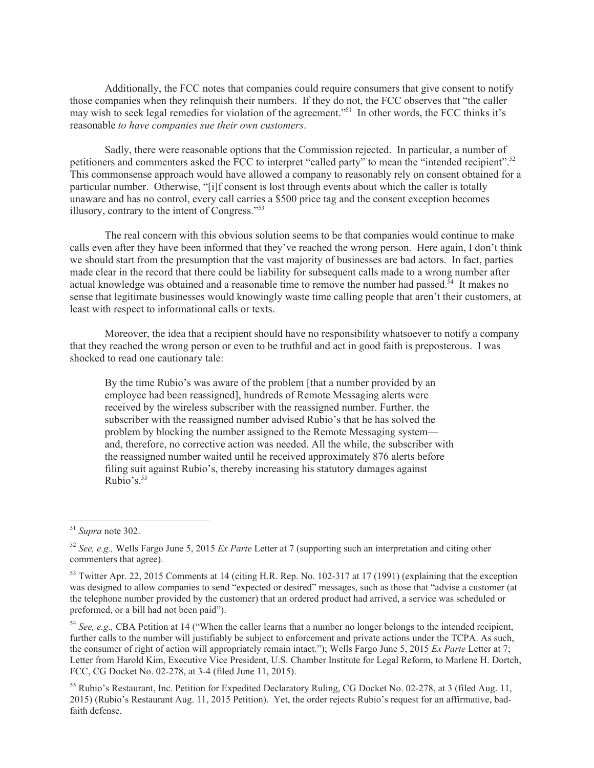Additionally, the FCC notes that companies could require consumers that give consent to notify those companies when they relinquish their numbers. If they do not, the FCC observes that "the caller may wish to seek legal remedies for violation of the agreement."<sup>51</sup> In other words, the FCC thinks it's reasonable *to have companies sue their own customers*.

Sadly, there were reasonable options that the Commission rejected. In particular, a number of petitioners and commenters asked the FCC to interpret "called party" to mean the "intended recipient".<sup>52</sup> This commonsense approach would have allowed a company to reasonably rely on consent obtained for a particular number. Otherwise, "[i]f consent is lost through events about which the caller is totally unaware and has no control, every call carries a \$500 price tag and the consent exception becomes illusory, contrary to the intent of Congress."<sup>53</sup>

The real concern with this obvious solution seems to be that companies would continue to make calls even after they have been informed that they've reached the wrong person. Here again, I don't think we should start from the presumption that the vast majority of businesses are bad actors. In fact, parties made clear in the record that there could be liability for subsequent calls made to a wrong number after actual knowledge was obtained and a reasonable time to remove the number had passed.<sup>54</sup> It makes no sense that legitimate businesses would knowingly waste time calling people that aren't their customers, at least with respect to informational calls or texts.

Moreover, the idea that a recipient should have no responsibility whatsoever to notify a company that they reached the wrong person or even to be truthful and act in good faith is preposterous. I was shocked to read one cautionary tale:

By the time Rubio's was aware of the problem [that a number provided by an employee had been reassigned], hundreds of Remote Messaging alerts were received by the wireless subscriber with the reassigned number. Further, the subscriber with the reassigned number advised Rubio's that he has solved the problem by blocking the number assigned to the Remote Messaging system and, therefore, no corrective action was needed. All the while, the subscriber with the reassigned number waited until he received approximately 876 alerts before filing suit against Rubio's, thereby increasing his statutory damages against Rubio's. $55$ 

<sup>51</sup> *Supra* note 302.

<sup>52</sup> *See, e.g.,* Wells Fargo June 5, 2015 *Ex Parte* Letter at 7 (supporting such an interpretation and citing other commenters that agree).

<sup>&</sup>lt;sup>53</sup> Twitter Apr. 22, 2015 Comments at 14 (citing H.R. Rep. No. 102-317 at 17 (1991) (explaining that the exception was designed to allow companies to send "expected or desired" messages, such as those that "advise a customer (at the telephone number provided by the customer) that an ordered product had arrived, a service was scheduled or preformed, or a bill had not been paid").

<sup>54</sup> *See, e.g.,* CBA Petition at 14 ("When the caller learns that a number no longer belongs to the intended recipient, further calls to the number will justifiably be subject to enforcement and private actions under the TCPA. As such, the consumer of right of action will appropriately remain intact."); Wells Fargo June 5, 2015 *Ex Parte* Letter at 7; Letter from Harold Kim, Executive Vice President, U.S. Chamber Institute for Legal Reform, to Marlene H. Dortch, FCC, CG Docket No. 02-278, at 3-4 (filed June 11, 2015).

<sup>&</sup>lt;sup>55</sup> Rubio's Restaurant, Inc. Petition for Expedited Declaratory Ruling, CG Docket No. 02-278, at 3 (filed Aug. 11, 2015) (Rubio's Restaurant Aug. 11, 2015 Petition). Yet, the order rejects Rubio's request for an affirmative, badfaith defense.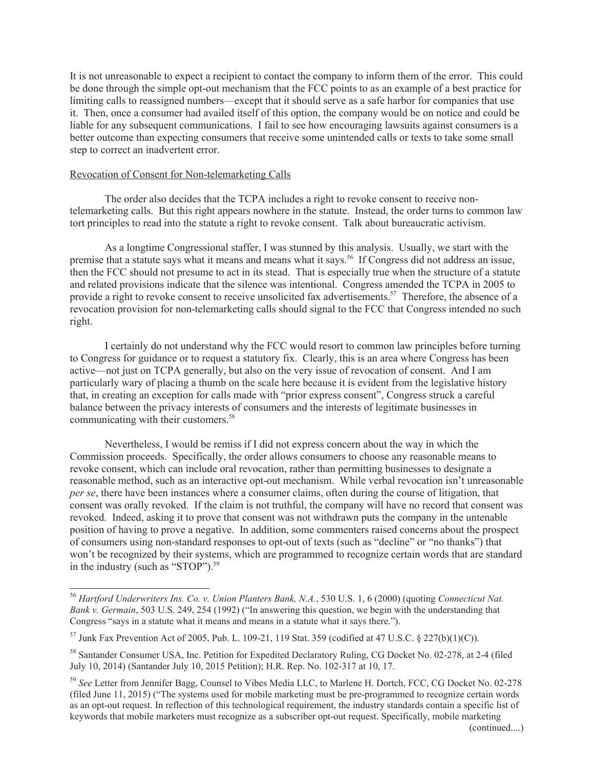It is not unreasonable to expect a recipient to contact the company to inform them of the error. This could be done through the simple opt-out mechanism that the FCC points to as an example of a best practice for limiting calls to reassigned numbers—except that it should serve as a safe harbor for companies that use it. Then, once a consumer had availed itself of this option, the company would be on notice and could be liable for any subsequent communications. I fail to see how encouraging lawsuits against consumers is a better outcome than expecting consumers that receive some unintended calls or texts to take some small step to correct an inadvertent error.

## Revocation of Consent for Non-telemarketing Calls

The order also decides that the TCPA includes a right to revoke consent to receive nontelemarketing calls. But this right appears nowhere in the statute. Instead, the order turns to common law tort principles to read into the statute a right to revoke consent. Talk about bureaucratic activism.

As a longtime Congressional staffer, I was stunned by this analysis. Usually, we start with the premise that a statute says what it means and means what it says.<sup>56</sup> If Congress did not address an issue, then the FCC should not presume to act in its stead. That is especially true when the structure of a statute and related provisions indicate that the silence was intentional. Congress amended the TCPA in 2005 to provide a right to revoke consent to receive unsolicited fax advertisements.<sup>57</sup> Therefore, the absence of a revocation provision for non-telemarketing calls should signal to the FCC that Congress intended no such right.

I certainly do not understand why the FCC would resort to common law principles before turning to Congress for guidance or to request a statutory fix. Clearly, this is an area where Congress has been active—not just on TCPA generally, but also on the very issue of revocation of consent. And I am particularly wary of placing a thumb on the scale here because it is evident from the legislative history that, in creating an exception for calls made with "prior express consent", Congress struck a careful balance between the privacy interests of consumers and the interests of legitimate businesses in communicating with their customers.<sup>58</sup>

Nevertheless, I would be remiss if I did not express concern about the way in which the Commission proceeds. Specifically, the order allows consumers to choose any reasonable means to revoke consent, which can include oral revocation, rather than permitting businesses to designate a reasonable method, such as an interactive opt-out mechanism. While verbal revocation isn't unreasonable *per se*, there have been instances where a consumer claims, often during the course of litigation, that consent was orally revoked. If the claim is not truthful, the company will have no record that consent was revoked. Indeed, asking it to prove that consent was not withdrawn puts the company in the untenable position of having to prove a negative. In addition, some commenters raised concerns about the prospect of consumers using non-standard responses to opt-out of texts (such as "decline" or "no thanks") that won't be recognized by their systems, which are programmed to recognize certain words that are standard in the industry (such as "STOP").<sup>59</sup>

<sup>56</sup> *Hartford Underwriters Ins. Co. v. Union Planters Bank, N.A.*, 530 U.S. 1, 6 (2000) (quoting *Connecticut Nat. Bank v. Germain*, 503 U.S. 249, 254 (1992) ("In answering this question, we begin with the understanding that Congress "says in a statute what it means and means in a statute what it says there.").

<sup>&</sup>lt;sup>57</sup> Junk Fax Prevention Act of 2005, Pub. L. 109-21, 119 Stat. 359 (codified at 47 U.S.C. § 227(b)(1)(C)).

<sup>58</sup> Santander Consumer USA, Inc. Petition for Expedited Declaratory Ruling, CG Docket No. 02-278, at 2-4 (filed July 10, 2014) (Santander July 10, 2015 Petition); H.R. Rep. No. 102-317 at 10, 17.

<sup>59</sup> *See* Letter from Jennifer Bagg, Counsel to Vibes Media LLC, to Marlene H. Dortch, FCC, CG Docket No. 02-278 (filed June 11, 2015) ("The systems used for mobile marketing must be pre-programmed to recognize certain words as an opt-out request. In reflection of this technological requirement, the industry standards contain a specific list of keywords that mobile marketers must recognize as a subscriber opt-out request. Specifically, mobile marketing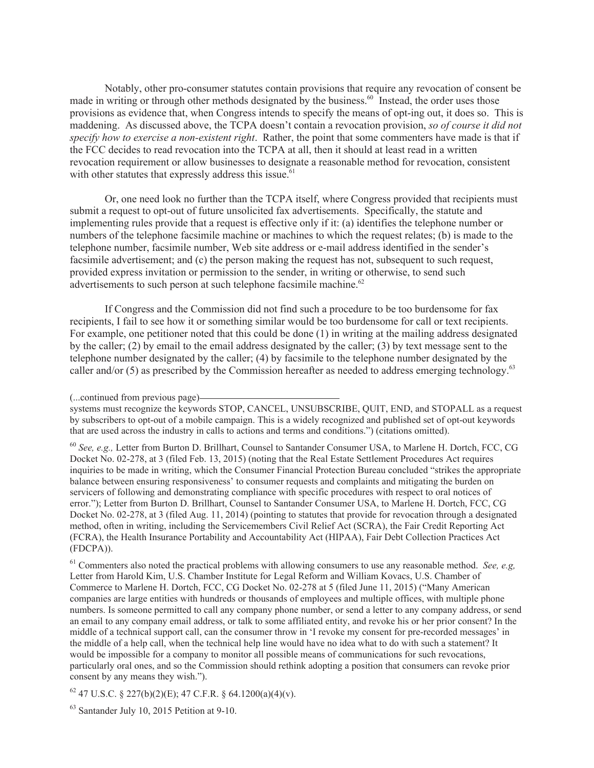Notably, other pro-consumer statutes contain provisions that require any revocation of consent be made in writing or through other methods designated by the business.<sup>60</sup> Instead, the order uses those provisions as evidence that, when Congress intends to specify the means of opt-ing out, it does so. This is maddening. As discussed above, the TCPA doesn't contain a revocation provision, *so of course it did not specify how to exercise a non-existent right*. Rather, the point that some commenters have made is that if the FCC decides to read revocation into the TCPA at all, then it should at least read in a written revocation requirement or allow businesses to designate a reasonable method for revocation, consistent with other statutes that expressly address this issue.<sup>61</sup>

Or, one need look no further than the TCPA itself, where Congress provided that recipients must submit a request to opt-out of future unsolicited fax advertisements. Specifically, the statute and implementing rules provide that a request is effective only if it: (a) identifies the telephone number or numbers of the telephone facsimile machine or machines to which the request relates; (b) is made to the telephone number, facsimile number, Web site address or e-mail address identified in the sender's facsimile advertisement; and (c) the person making the request has not, subsequent to such request, provided express invitation or permission to the sender, in writing or otherwise, to send such advertisements to such person at such telephone facsimile machine.<sup>62</sup>

If Congress and the Commission did not find such a procedure to be too burdensome for fax recipients, I fail to see how it or something similar would be too burdensome for call or text recipients. For example, one petitioner noted that this could be done (1) in writing at the mailing address designated by the caller; (2) by email to the email address designated by the caller; (3) by text message sent to the telephone number designated by the caller; (4) by facsimile to the telephone number designated by the caller and/or (5) as prescribed by the Commission hereafter as needed to address emerging technology.<sup>63</sup>

<sup>60</sup> *See, e.g.,* Letter from Burton D. Brillhart, Counsel to Santander Consumer USA, to Marlene H. Dortch, FCC, CG Docket No. 02-278, at 3 (filed Feb. 13, 2015) (noting that the Real Estate Settlement Procedures Act requires inquiries to be made in writing, which the Consumer Financial Protection Bureau concluded "strikes the appropriate balance between ensuring responsiveness' to consumer requests and complaints and mitigating the burden on servicers of following and demonstrating compliance with specific procedures with respect to oral notices of error."); Letter from Burton D. Brillhart, Counsel to Santander Consumer USA, to Marlene H. Dortch, FCC, CG Docket No. 02-278, at 3 (filed Aug. 11, 2014) (pointing to statutes that provide for revocation through a designated method, often in writing, including the Servicemembers Civil Relief Act (SCRA), the Fair Credit Reporting Act (FCRA), the Health Insurance Portability and Accountability Act (HIPAA), Fair Debt Collection Practices Act (FDCPA)).

<sup>61</sup> Commenters also noted the practical problems with allowing consumers to use any reasonable method. *See, e.g,* Letter from Harold Kim, U.S. Chamber Institute for Legal Reform and William Kovacs, U.S. Chamber of Commerce to Marlene H. Dortch, FCC, CG Docket No. 02-278 at 5 (filed June 11, 2015) ("Many American companies are large entities with hundreds or thousands of employees and multiple offices, with multiple phone numbers. Is someone permitted to call any company phone number, or send a letter to any company address, or send an email to any company email address, or talk to some affiliated entity, and revoke his or her prior consent? In the middle of a technical support call, can the consumer throw in 'I revoke my consent for pre-recorded messages' in the middle of a help call, when the technical help line would have no idea what to do with such a statement? It would be impossible for a company to monitor all possible means of communications for such revocations, particularly oral ones, and so the Commission should rethink adopting a position that consumers can revoke prior consent by any means they wish.").

 $62$  47 U.S.C. § 227(b)(2)(E); 47 C.F.R. § 64.1200(a)(4)(v).

<sup>(...</sup>continued from previous page)

systems must recognize the keywords STOP, CANCEL, UNSUBSCRIBE, QUIT, END, and STOPALL as a request by subscribers to opt-out of a mobile campaign. This is a widely recognized and published set of opt-out keywords that are used across the industry in calls to actions and terms and conditions.") (citations omitted).

<sup>63</sup> Santander July 10, 2015 Petition at 9-10.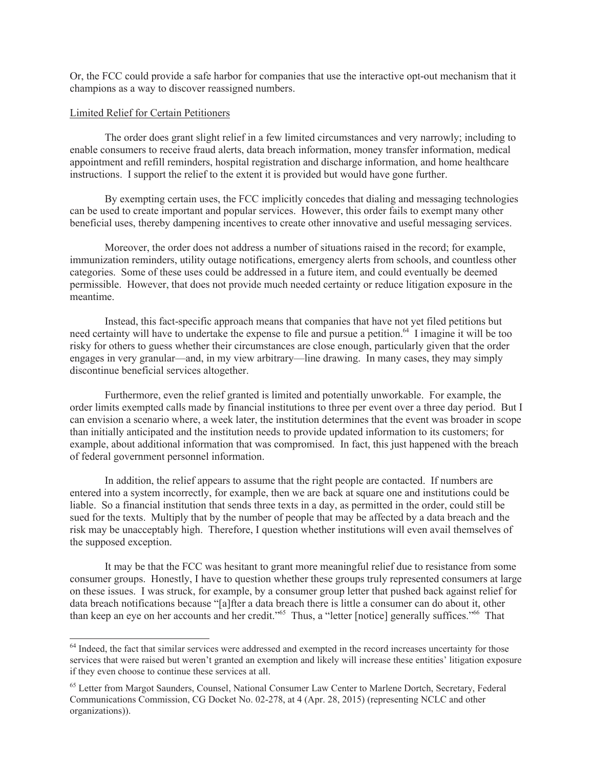Or, the FCC could provide a safe harbor for companies that use the interactive opt-out mechanism that it champions as a way to discover reassigned numbers.

### Limited Relief for Certain Petitioners

The order does grant slight relief in a few limited circumstances and very narrowly; including to enable consumers to receive fraud alerts, data breach information, money transfer information, medical appointment and refill reminders, hospital registration and discharge information, and home healthcare instructions. I support the relief to the extent it is provided but would have gone further.

By exempting certain uses, the FCC implicitly concedes that dialing and messaging technologies can be used to create important and popular services. However, this order fails to exempt many other beneficial uses, thereby dampening incentives to create other innovative and useful messaging services.

Moreover, the order does not address a number of situations raised in the record; for example, immunization reminders, utility outage notifications, emergency alerts from schools, and countless other categories. Some of these uses could be addressed in a future item, and could eventually be deemed permissible. However, that does not provide much needed certainty or reduce litigation exposure in the meantime.

Instead, this fact-specific approach means that companies that have not yet filed petitions but need certainty will have to undertake the expense to file and pursue a petition.<sup>64</sup> I imagine it will be too risky for others to guess whether their circumstances are close enough, particularly given that the order engages in very granular—and, in my view arbitrary—line drawing. In many cases, they may simply discontinue beneficial services altogether.

Furthermore, even the relief granted is limited and potentially unworkable. For example, the order limits exempted calls made by financial institutions to three per event over a three day period. But I can envision a scenario where, a week later, the institution determines that the event was broader in scope than initially anticipated and the institution needs to provide updated information to its customers; for example, about additional information that was compromised. In fact, this just happened with the breach of federal government personnel information.

In addition, the relief appears to assume that the right people are contacted. If numbers are entered into a system incorrectly, for example, then we are back at square one and institutions could be liable. So a financial institution that sends three texts in a day, as permitted in the order, could still be sued for the texts. Multiply that by the number of people that may be affected by a data breach and the risk may be unacceptably high. Therefore, I question whether institutions will even avail themselves of the supposed exception.

It may be that the FCC was hesitant to grant more meaningful relief due to resistance from some consumer groups. Honestly, I have to question whether these groups truly represented consumers at large on these issues. I was struck, for example, by a consumer group letter that pushed back against relief for data breach notifications because "[a]fter a data breach there is little a consumer can do about it, other than keep an eye on her accounts and her credit."<sup>65</sup> Thus, a "letter [notice] generally suffices."<sup>66</sup> That

<sup>&</sup>lt;sup>64</sup> Indeed, the fact that similar services were addressed and exempted in the record increases uncertainty for those services that were raised but weren't granted an exemption and likely will increase these entities' litigation exposure if they even choose to continue these services at all.

<sup>&</sup>lt;sup>65</sup> Letter from Margot Saunders, Counsel, National Consumer Law Center to Marlene Dortch, Secretary, Federal Communications Commission, CG Docket No. 02-278, at 4 (Apr. 28, 2015) (representing NCLC and other organizations)).